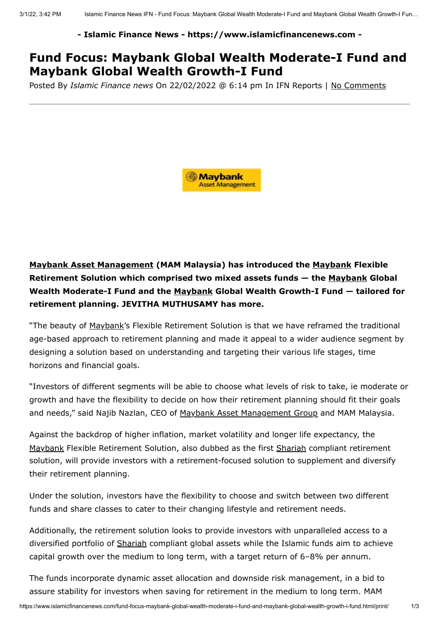## **- Islamic Finance News - https://www.islamicfinancenews.com -**

## **Fund Focus: Maybank Global Wealth Moderate-I Fund and Maybank Global Wealth Growth-I Fund**

Posted By *Islamic Finance news* On 22/02/2022 @ 6:14 pm In IFN Reports | No Comments



**[Maybank Asset Management](https://www.islamicfinancenews.com/company/maybank-asset-management) (MAM Malaysia) has introduced the [Maybank](https://www.islamicfinancenews.com/company/maybank) Flexible Retirement Solution which comprised two mixed assets funds — the [Maybank](https://www.islamicfinancenews.com/company/maybank) Global Wealth Moderate-I Fund and the [Maybank](https://www.islamicfinancenews.com/company/maybank) Global Wealth Growth-I Fund — tailored for retirement planning. JEVITHA MUTHUSAMY has more.**

"The beauty of [Maybank](https://www.islamicfinancenews.com/company/maybank)'s Flexible Retirement Solution is that we have reframed the traditional age-based approach to retirement planning and made it appeal to a wider audience segment by designing a solution based on understanding and targeting their various life stages, time horizons and financial goals.

"Investors of different segments will be able to choose what levels of risk to take, ie moderate or growth and have the flexibility to decide on how their retirement planning should fit their goals and needs," said Najib Nazlan, CEO of [Maybank Asset Management Group](https://www.islamicfinancenews.com/company/maybank-asset-management) and MAM Malaysia.

Against the backdrop of higher inflation, market volatility and longer life expectancy, the [Maybank](https://www.islamicfinancenews.com/company/maybank) Flexible Retirement Solution, also dubbed as the first [Shariah](https://www.islamicfinancenews.com/glossary/shariah-2) compliant retirement solution, will provide investors with a retirement-focused solution to supplement and diversify their retirement planning.

Under the solution, investors have the flexibility to choose and switch between two different funds and share classes to cater to their changing lifestyle and retirement needs.

Additionally, the retirement solution looks to provide investors with unparalleled access to a diversified portfolio of [Shariah](https://www.islamicfinancenews.com/glossary/shariah-2) compliant global assets while the Islamic funds aim to achieve capital growth over the medium to long term, with a target return of 6–8% per annum.

The funds incorporate dynamic asset allocation and downside risk management, in a bid to assure stability for investors when saving for retirement in the medium to long term. MAM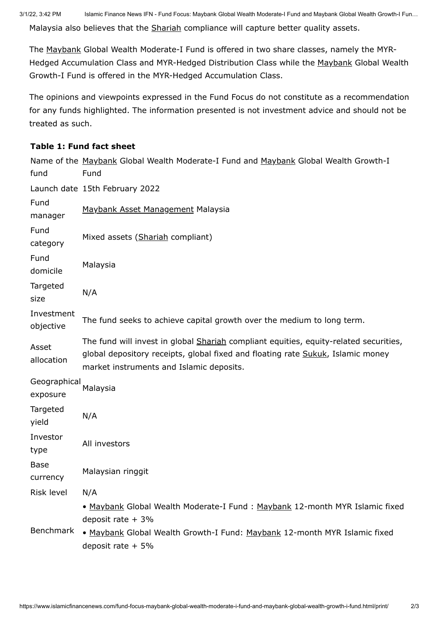Malaysia also believes that the [Shariah](https://www.islamicfinancenews.com/glossary/shariah-2) compliance will capture better quality assets.

The [Maybank](https://www.islamicfinancenews.com/company/maybank) Global Wealth Moderate-I Fund is offered in two share classes, namely the MYR-Hedged Accumulation Class and MYR-Hedged Distribution Class while the [Maybank](https://www.islamicfinancenews.com/company/maybank) Global Wealth Growth-I Fund is offered in the MYR-Hedged Accumulation Class.

The opinions and viewpoints expressed in the Fund Focus do not constitute as a recommendation for any funds highlighted. The information presented is not investment advice and should not be treated as such.

## **Table 1: Fund fact sheet**

| fund                     | Name of the Maybank Global Wealth Moderate-I Fund and Maybank Global Wealth Growth-I<br>Fund                                                                                                                         |
|--------------------------|----------------------------------------------------------------------------------------------------------------------------------------------------------------------------------------------------------------------|
|                          | Launch date 15th February 2022                                                                                                                                                                                       |
| Fund<br>manager          | Maybank Asset Management Malaysia                                                                                                                                                                                    |
| Fund<br>category         | Mixed assets (Shariah compliant)                                                                                                                                                                                     |
| Fund<br>domicile         | Malaysia                                                                                                                                                                                                             |
| Targeted<br>size         | N/A                                                                                                                                                                                                                  |
| Investment<br>objective  | The fund seeks to achieve capital growth over the medium to long term.                                                                                                                                               |
| Asset<br>allocation      | The fund will invest in global Shariah compliant equities, equity-related securities,<br>global depository receipts, global fixed and floating rate Sukuk, Islamic money<br>market instruments and Islamic deposits. |
| Geographical<br>exposure | Malaysia                                                                                                                                                                                                             |
| Targeted<br>yield        | N/A                                                                                                                                                                                                                  |
| Investor<br>type         | All investors                                                                                                                                                                                                        |
| <b>Base</b><br>currency  | Malaysian ringgit                                                                                                                                                                                                    |
| Risk level               | N/A                                                                                                                                                                                                                  |
|                          | • Maybank Global Wealth Moderate-I Fund: Maybank 12-month MYR Islamic fixed<br>deposit rate $+3%$                                                                                                                    |
| Benchmark                | • Maybank Global Wealth Growth-I Fund: Maybank 12-month MYR Islamic fixed<br>deposit rate $+5%$                                                                                                                      |